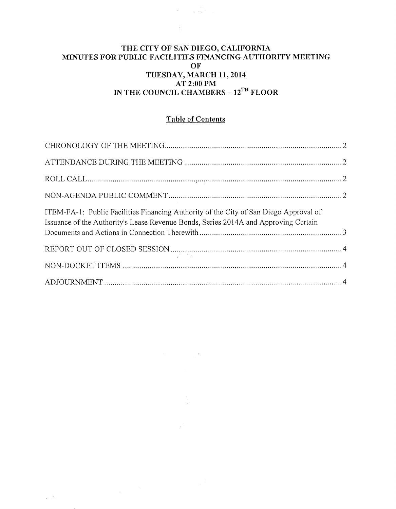#### THE CITY OF SAN DIEGO, CALIFORNIA MINUTES FOR PUBLIC FACILITIES FINANCING AUTHORITY MEETING **OF** TUESDAY, MARCH 11,2014 AT 2:00PM IN THE COUNCIL CHAMBERS – 12<sup>TH</sup> FLOOR

 $\label{eq:2} \frac{1}{\sqrt{2}}\int_{0}^{2\pi} \frac{1}{\sqrt{2}}\left(\frac{1}{\sqrt{2}}\right)^{2} \frac{1}{\sqrt{2}}\left(\frac{1}{\sqrt{2}}\right)^{2} \frac{1}{\sqrt{2}}\left(\frac{1}{\sqrt{2}}\right)^{2} \frac{1}{\sqrt{2}}\left(\frac{1}{\sqrt{2}}\right)^{2} \frac{1}{\sqrt{2}}\left(\frac{1}{\sqrt{2}}\right)^{2} \frac{1}{\sqrt{2}}\left(\frac{1}{\sqrt{2}}\right)^{2} \frac{1}{\sqrt{2}}\left(\frac{1}{\sqrt{2}}\right)^$ 

 $\mathcal{L}^{\text{max}}_{\text{max}}$ 

## Table of Contents

| ITEM-FA-1: Public Facilities Financing Authority of the City of San Diego Approval of<br>Issuance of the Authority's Lease Revenue Bonds, Series 2014A and Approving Certain |  |
|------------------------------------------------------------------------------------------------------------------------------------------------------------------------------|--|
|                                                                                                                                                                              |  |
|                                                                                                                                                                              |  |
|                                                                                                                                                                              |  |

 $\mathcal{L}^{\text{max}}$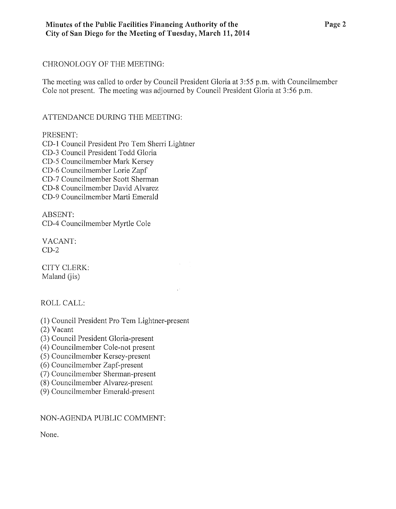#### CHRONOLOGY OF THE MEETING:

The meeting was called to order by Council President Gloria at 3:55 p.m. with Councilmember Cole not present. The meeting was adjourned by Council President Gloria at 3:56 p.m.

## ATTENDANCE DURING THE MEETING:

### PRESENT:

CD-1 Council President Pro Tem Sherri Lightner CD-3 Council President Todd Gloria CD-5 Councilmember Mark Kersey CD-6 Councilmember Lorie Zapf CD-7 Councilmember Scott Sherman CD-8 Councilmember David Alvarez CD-9 Councilmember Marti Emerald

ABSENT: CD-4 Councilmember Myrtle Cole

VACANT:  $CD-2$ 

CITY CLERK: Maland (*jis*)

ROLL CALL:

- (1) Council President Pro Tem Lightner-present
- (2) Vacant
- (3) Council President Gloria-present
- ( 4) Councilmember Cole-not present
- (5) Councilmember Kersey-present
- (6) Councilmember Zapf-present
- (7) Councilmember Sherman-present
- (8) Councilmember Alvarez-present
- (9) Councilmember Emerald-present

### NON-AGENDA PUBLIC COMMENT:

None.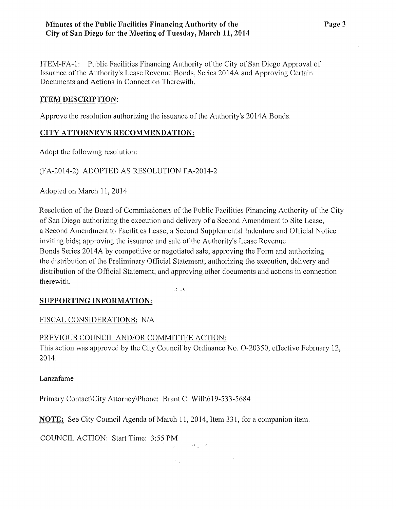ITEM-FA-1: Public Facilities Financing Authority ofthe City of San Diego Approval of Issuance of the Authority's Lease Revenue Bonds, Series 20 14A and Approving Certain Documents and Actions in Connection Therewith.

## **ITEM DESCRIPTION:**

Approve the resolution authorizing the issuance of the Authority's 2014A Bonds.

# **CITY ATTORNEY'S RECOMMENDATION:**

Adopt the following resolution:

# (FA-2014-2) ADOPTED AS RESOLUTION FA-2014-2

Adopted on March **11,** 20 14

Resolution of the Board of Commissioners of the Public Facilities Financing Authority of the City of San Diego authorizing the execution and delivery of a Second Amendment to Site Lease, a Second Amendment to Facilities Lease, a Second Supplemental Indenture and Official Notice inviting bids; approving the issuance and sale of the Authority's Lease Revenue Bonds Series 2014A by competitive or negotiated sale; approving the Form and authorizing the distribution of the Preliminary Official Statement; authorizing the execution, delivery and distribution of the Official Statement; and approving other documents and actions in connection therewith.

 $\hat{A}$  and

# **SUPPORTING INFORMATION:**

FISCAL CONSIDERATIONS: N/A

# PREVIOUS COUNCIL AND/OR COMMITTEE ACTION:

This action was approved by the City Council by Ordinance No. O-20350, effective February 12, 2014.

 $\frac{d}{dt}\sum_{i=1}^{d} \frac{d}{dt}\left(\frac{d}{dt}\right)^2 \left(\frac{d}{dt}\right)^2 \left(\frac{d}{dt}\right)^2 \left(\frac{d}{dt}\right)^2 \left(\frac{d}{dt}\right)^2 \left(\frac{d}{dt}\right)^2 \left(\frac{d}{dt}\right)^2.$ 

Lanzafame

Primary Contact\City Attorney\Phone: Brant C. Will\619-533-5684

**NOTE:** See City Council Agenda of March 11, 2014, Item 331, for a companion item.

COUNCIL ACTION: Start Time: 3:55PM **,I.**